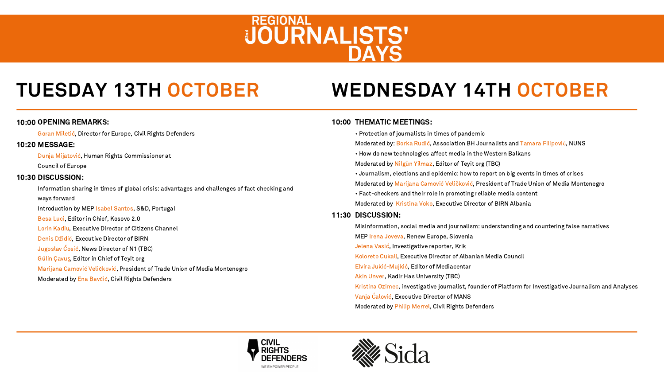# **WEDNESDAY 14TH OCTOBER**

# 10:00 THEMATIC MEETINGS:

REGIONAL<br>JOURNALISTS'

- 
- 
- 
- 
- 
- 
- 
- 

# 11:30 DISCUSSION:

Information sharing in times of global crisis: advantages and challenges of fact checking and ways forward Introduction by MEP Isabel Santos, S&D, Portugal Besa Luci, Editor in Chief, Kosovo 2.0 Lorin Kadiu, Executive Director of Citizens Channel Denis Džidić, Executive Director of BIRN Jugoslav Ćosić, News Director of N1 (TBC) Gülin Çavuş, Editor in Chief of Teyit org Marijana Camović Veličković, President of Trade Union of Media Montenegro Moderated by Ena Bavčić, Civil Rights Defenders

Council of Europe

## 10:30 DISCUSSION:

## OPENING REMARKS: 10:00 10:00

Goran Miletić, Director for Europe, Civil Rights Defenders

## 10:20 MESSAGE:

Dunja Mijatović, Human Rights Commissioner at

• Protection of journalists in times of pandemic Moderated by: Borka Rudić, Association BH Journalists and Tamara Filipović, NUNS • How do new technologies affect media in the Western Balkans Moderated by Nilgün Yilmaz, Editor of Teyit org (TBC) • Journalism, elections and epidemic: how to report on big events in times of crises Moderated by Marijana Camović Veličković, President of Trade Union of Media Montenegro • Fact-checkers and their role in promoting reliable media content Moderated by Kristina Voko, Executive Director of BIRN Albania

Misinformation, social media and journalism: understanding and countering false narratives MEP Irena Joveva, Renew Europe, Slovenia Jelena Vasić, Investigative reporter, Krik Koloreto Cukali, Executive Director of Albanian Media Council Elvira Jukić-Mujkić, Editor of Mediacentar Akin Unver, Kadir Has University (TBC) Kristina Ozimec, investigative journalist, founder of Platform for Investigative Journalism and Analyses Vanja Ćalović, Executive Director of MANS Moderated by Philip Merrel, Civil Rights Defenders





# **TUESDAY 13TH OCTOBER**